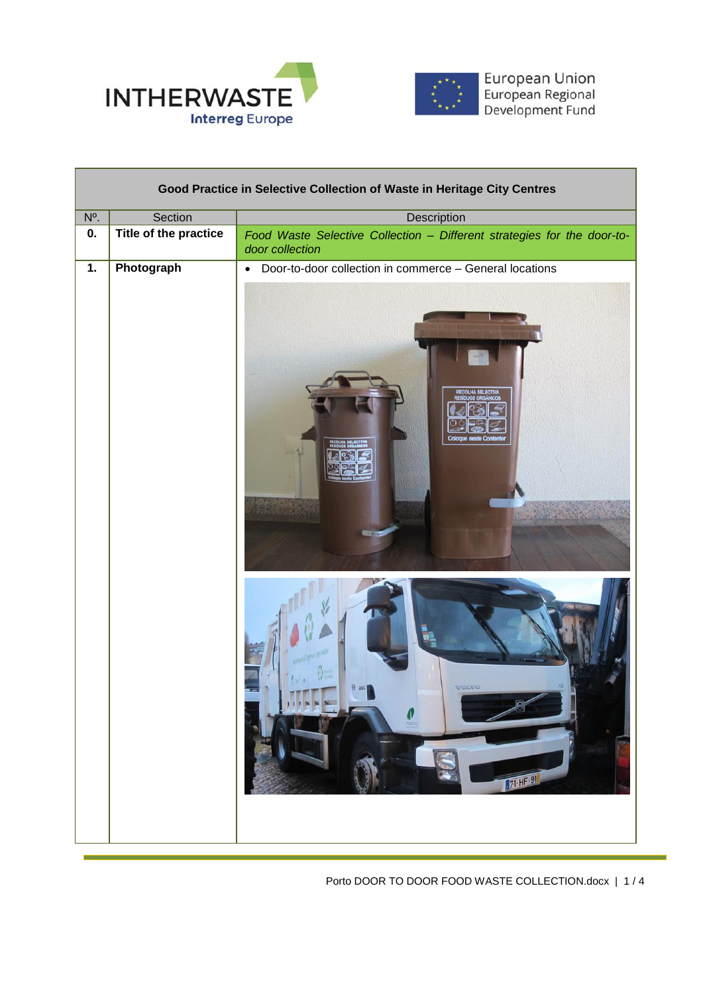



European Union<br>European Regional<br>Development Fund

| Good Practice in Selective Collection of Waste in Heritage City Centres |                       |                                                                                                              |  |
|-------------------------------------------------------------------------|-----------------------|--------------------------------------------------------------------------------------------------------------|--|
| $N^{\circ}$ .                                                           | Section               | <b>Description</b>                                                                                           |  |
| 0.                                                                      | Title of the practice | Food Waste Selective Collection - Different strategies for the door-to-<br>door collection                   |  |
| Photograph<br>$\overline{1}$ .                                          |                       | Door-to-door collection in commerce - General locations<br>$\bullet$                                         |  |
|                                                                         |                       | <b>ECOLHA SELECTIV</b><br>Cologue necta Con<br>のこ 多葉 (の)<br>VOINO<br>$\frac{1}{\sqrt{2}}$<br><b>71 HF 91</b> |  |

Porto DOOR TO DOOR FOOD WASTE COLLECTION.docx | 1 / 4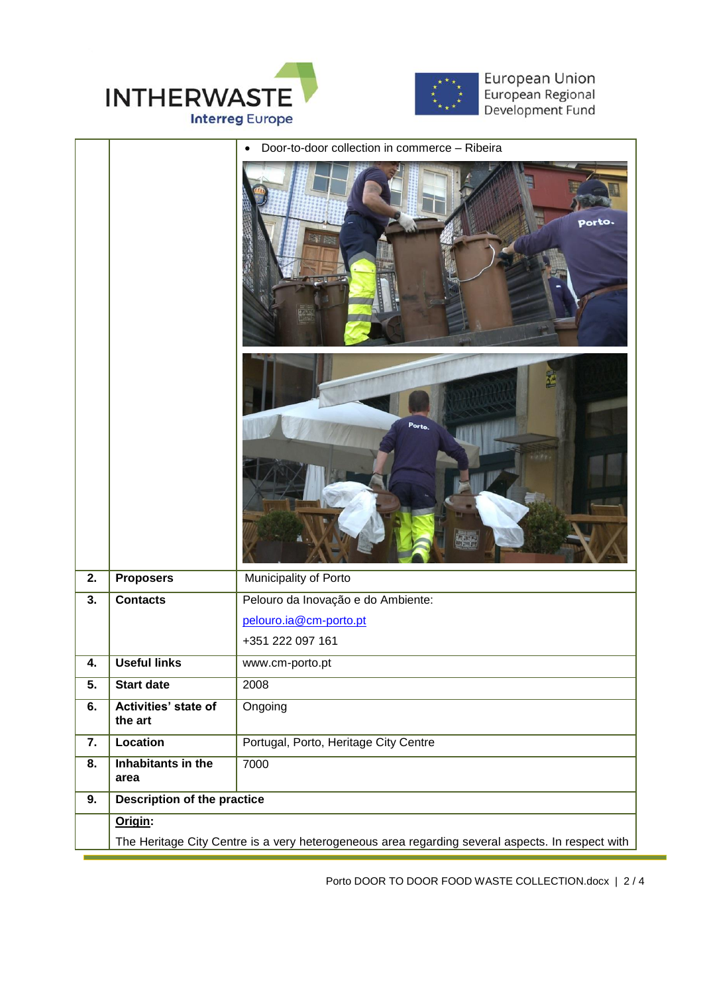



European Union<br>European Regional<br>Development Fund

|                  |                                                                                                  | Door-to-door collection in commerce - Ribeira<br>$\bullet$ |  |
|------------------|--------------------------------------------------------------------------------------------------|------------------------------------------------------------|--|
|                  |                                                                                                  | porto.<br>继核                                               |  |
|                  |                                                                                                  | Porto.                                                     |  |
| 2.               | <b>Proposers</b>                                                                                 | Municipality of Porto                                      |  |
| 3.               | <b>Contacts</b>                                                                                  | Pelouro da Inovação e do Ambiente:                         |  |
|                  |                                                                                                  | pelouro.ia@cm-porto.pt                                     |  |
|                  |                                                                                                  | +351 222 097 161                                           |  |
| 4.               | <b>Useful links</b>                                                                              | www.cm-porto.pt                                            |  |
| 5.               | <b>Start date</b>                                                                                | 2008                                                       |  |
| 6.               | Activities' state of<br>the art                                                                  | Ongoing                                                    |  |
| $\overline{7}$ . | <b>Location</b>                                                                                  | Portugal, Porto, Heritage City Centre                      |  |
| 8.               | Inhabitants in the<br>area                                                                       | 7000                                                       |  |
| 9.               | <b>Description of the practice</b>                                                               |                                                            |  |
|                  | Origin:                                                                                          |                                                            |  |
|                  | The Heritage City Centre is a very heterogeneous area regarding several aspects. In respect with |                                                            |  |

Porto DOOR TO DOOR FOOD WASTE COLLECTION.docx | 2 / 4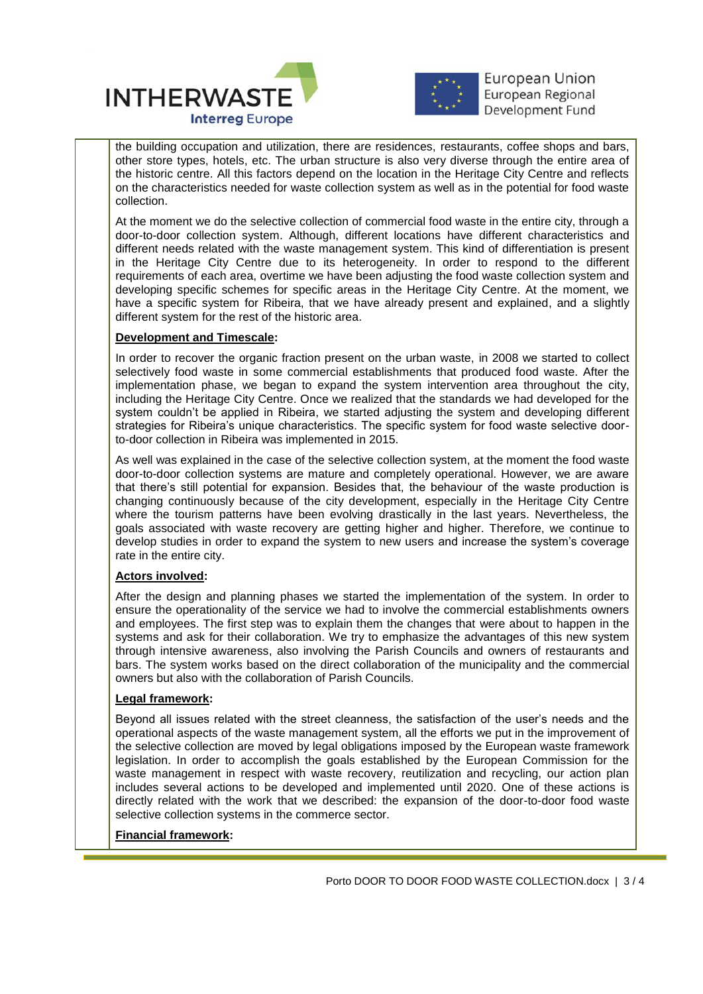



**European Union** European Regional Development Fund

 $\overline{a}$ the building occupation and utilization, there are residences, restaurants, coffee shops and bars, other store types, hotels, etc. The urban structure is also very diverse through the entire area of the historic centre. All this factors depend on the location in the Heritage City Centre and reflects on the characteristics needed for waste collection system as well as in the potential for food waste collection.

At the moment we do the selective collection of commercial food waste in the entire city, through a door-to-door collection system. Although, different locations have different characteristics and different needs related with the waste management system. This kind of differentiation is present in the Heritage City Centre due to its heterogeneity. In order to respond to the different requirements of each area, overtime we have been adjusting the food waste collection system and developing specific schemes for specific areas in the Heritage City Centre. At the moment, we have a specific system for Ribeira, that we have already present and explained, and a slightly different system for the rest of the historic area.

## **Development and Timescale:**

In order to recover the organic fraction present on the urban waste, in 2008 we started to collect selectively food waste in some commercial establishments that produced food waste. After the implementation phase, we began to expand the system intervention area throughout the city, including the Heritage City Centre. Once we realized that the standards we had developed for the system couldn't be applied in Ribeira, we started adjusting the system and developing different strategies for Ribeira's unique characteristics. The specific system for food waste selective doorto-door collection in Ribeira was implemented in 2015.

As well was explained in the case of the selective collection system, at the moment the food waste door-to-door collection systems are mature and completely operational. However, we are aware that there's still potential for expansion. Besides that, the behaviour of the waste production is changing continuously because of the city development, especially in the Heritage City Centre where the tourism patterns have been evolving drastically in the last years. Nevertheless, the goals associated with waste recovery are getting higher and higher. Therefore, we continue to develop studies in order to expand the system to new users and increase the system's coverage rate in the entire city.

## **Actors involved:**

After the design and planning phases we started the implementation of the system. In order to ensure the operationality of the service we had to involve the commercial establishments owners and employees. The first step was to explain them the changes that were about to happen in the systems and ask for their collaboration. We try to emphasize the advantages of this new system through intensive awareness, also involving the Parish Councils and owners of restaurants and bars. The system works based on the direct collaboration of the municipality and the commercial owners but also with the collaboration of Parish Councils.

## **Legal framework:**

Beyond all issues related with the street cleanness, the satisfaction of the user's needs and the operational aspects of the waste management system, all the efforts we put in the improvement of the selective collection are moved by legal obligations imposed by the European waste framework legislation. In order to accomplish the goals established by the European Commission for the waste management in respect with waste recovery, reutilization and recycling, our action plan includes several actions to be developed and implemented until 2020. One of these actions is directly related with the work that we described: the expansion of the door-to-door food waste selective collection systems in the commerce sector.

## **Financial framework:**